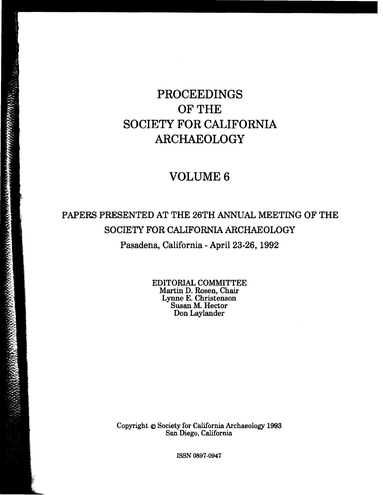# PROCEEDINGS OF THE SOCIETY FOR CALIFORNIA ARCHAEOLOGY

## VOLUME 6

## PAPERS PRESENTED AT THE 26TH ANNUAL MEETING OF THE SOCIETY FOR CALIFORNIA ARCHAEOLOGY Pasadena, California - April 23-26, 1992

EDITORIAL COMMITTEE Martin D. Rosen, Chair Lynne E. Christenson Susan M. Hector Don Laylander

Copyright @ Society for California Archaeology 1993 San Diego, California

ISSN 0897-0947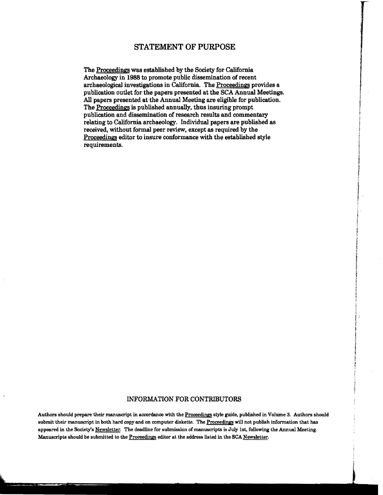### STATEMENT OF PURPOSE

The Proceedings was established by the Society for California Archaeology in 1988 to promote public dissemination of recent archaeological investigations in California. The Proceedings provides a publication outlet for the papers presented at the SCA Annual Meetings. All papers presented at the Annual Meeting are eligible for publication. The Proceedings is published annually, thus insuring prompt publication and dissemination of research results and commentary relating to California archaeology. Individual papers are published as received, without formal peer review, except as required by the Proceedings editor to insure conformance with the established style requirements.

#### INFORMATION FOR CONTRIBUTORS

Authors should prepare their manuscript in accordance with the Proceedings style guide, published in Volume 3. Authors should submit their manuscript in both hard copy and on computer diskette. The Proceedings will not publish information that has appeared in the Society's Newsletter. The deadline for submission of manuscripts is July 1st, following the Annual Meeting. Manuscripts should be submitted to the Proceedings editor at the address listed in the SCA Newsletter.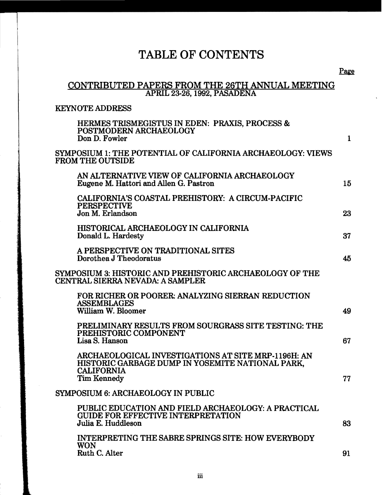## TABLE OF CONTENTS

### CONTRIBUTED PAPERS FROM THE 26TH ANNUAL MEETING APRIL 23-26,1992, PASADENA

### KEYNOTE ADDRESS

|                                                                                        | HERMES TRISMEGISTUS IN EDEN: PRAXIS, PROCESS &<br>POSTMODERN ARCHAEOLOGY<br>Don D. Fowler                                                          | $\mathbf{1}$ |
|----------------------------------------------------------------------------------------|----------------------------------------------------------------------------------------------------------------------------------------------------|--------------|
| SYMPOSIUM 1: THE POTENTIAL OF CALIFORNIA ARCHAEOLOGY: VIEWS<br><b>FROM THE OUTSIDE</b> |                                                                                                                                                    |              |
|                                                                                        | AN ALTERNATIVE VIEW OF CALIFORNIA ARCHAEOLOGY<br>Eugene M. Hattori and Allen G. Pastron                                                            | 15           |
|                                                                                        | CALIFORNIA'S COASTAL PREHISTORY: A CIRCUM-PACIFIC<br><b>PERSPECTIVE</b><br>Jon M. Erlandson                                                        | 23           |
|                                                                                        | HISTORICAL ARCHAEOLOGY IN CALIFORNIA<br>Donald L. Hardesty                                                                                         | 37           |
|                                                                                        | A PERSPECTIVE ON TRADITIONAL SITES<br>Dorothea J Theodoratus                                                                                       | 45           |
|                                                                                        | SYMPOSIUM 3: HISTORIC AND PREHISTORIC ARCHAEOLOGY OF THE<br>CENTRAL SIERRA NEVADA: A SAMPLER                                                       |              |
|                                                                                        | FOR RICHER OR POORER: ANALYZING SIERRAN REDUCTION<br><b>ASSEMBLAGES</b><br>William W. Bloomer                                                      | 49           |
|                                                                                        | PRELIMINARY RESULTS FROM SOURGRASS SITE TESTING: THE<br>PREHISTORIC COMPONENT<br>Lisa S. Hanson                                                    | 67           |
|                                                                                        | ARCHAEOLOGICAL INVESTIGATIONS AT SITE MRP-1196H: AN<br>HISTORIC GARBAGE DUMP IN YOSEMITE NATIONAL PARK.<br><b>CALIFORNIA</b><br><b>Tim Kennedy</b> | 77           |
|                                                                                        | SYMPOSIUM 6: ARCHAEOLOGY IN PUBLIC                                                                                                                 |              |
|                                                                                        | PUBLIC EDUCATION AND FIELD ARCHAEOLOGY: A PRACTICAL<br><b>GUIDE FOR EFFECTIVE INTERPRETATION</b><br>Julia E. Huddleson                             | 83           |
|                                                                                        | <b>INTERPRETING THE SABRE SPRINGS SITE: HOW EVERYBODY</b><br><b>WON</b><br>Ruth C. Alter                                                           | 91           |
|                                                                                        |                                                                                                                                                    |              |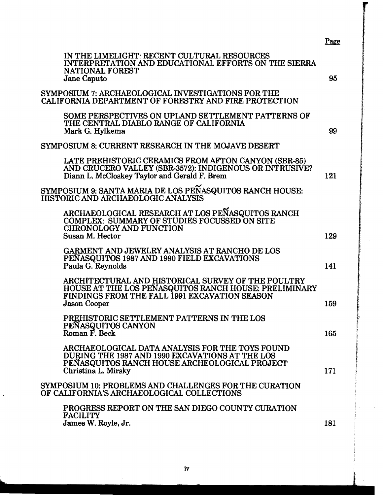| IN THE LIMELIGHT: RECENT CULTURAL RESOURCES<br>INTERPRETATION AND EDUCATIONAL EFFORTS ON THE SIERRA<br><b>NATIONAL FOREST</b><br><b>Jane Caputo</b>                                 | 95  |
|-------------------------------------------------------------------------------------------------------------------------------------------------------------------------------------|-----|
| SYMPOSIUM 7: ARCHAEOLOGICAL INVESTIGATIONS FOR THE<br>CALIFORNIA DEPARTMENT OF FORESTRY AND FIRE PROTECTION                                                                         |     |
| SOME PERSPECTIVES ON UPLAND SETTLEMENT PATTERNS OF<br>THE CENTRAL DIABLO RANGE OF CALIFORNIA<br>Mark G. Hylkema                                                                     | 99  |
| SYMPOSIUM 8: CURRENT RESEARCH IN THE MOJAVE DESERT                                                                                                                                  |     |
| LATE PREHISTORIC CERAMICS FROM AFTON CANYON (SBR-85)<br>AND CRUCERO VALLEY (SBR-3572): INDIGENOUS OR INTRUSIVE?<br>Diann L. McCloskey Taylor and Gerald F. Brem                     | 121 |
| SYMPOSIUM 9: SANTA MARIA DE LOS PEÑASQUITOS RANCH HOUSE:<br>HISTORIC AND ARCHAEOLOGIC ANALYSIS                                                                                      |     |
| ARCHAEOLOGICAL RESEARCH AT LOS PEÑASQUITOS RANCH<br><b>COMPLEX: SUMMARY OF STUDIES FOCUSSED ON SITE</b><br><b>CHRONOLOGY AND FUNCTION</b>                                           |     |
| Susan M. Hector                                                                                                                                                                     | 129 |
| GARMENT AND JEWELRY ANALYSIS AT RANCHO DE LOS<br>PENASQUITOS 1987 AND 1990 FIELD EXCAVATIONS<br>Paula G. Reynolds                                                                   | 141 |
| ARCHITECTURAL AND HISTORICAL SURVEY OF THE POULTRY<br>HOUSE AT THE LOS PEÑASQUITOS RANCH HOUSE: PRELIMINARY<br>FINDINGS FROM THE FALL 1991 EXCAVATION SEASON<br><b>Jason Cooper</b> | 159 |
|                                                                                                                                                                                     |     |
| PREHISTORIC SETTLEMENT PATTERNS IN THE LOS<br>PEÑASQUITOS CANYON<br>Roman F. Beck                                                                                                   | 165 |
| ARCHAEOLOGICAL DATA ANALYSIS FOR THE TOYS FOUND<br>DURING THE 1987 AND 1990 EXCAVATIONS AT THE LOS<br>PENASQUITOS RANCH HOUSE ARCHEOLOGICAL PROJECT<br>Christina L. Mirsky          | 171 |
| SYMPOSIUM 10: PROBLEMS AND CHALLENGES FOR THE CURATION<br>OF CALIFORNIA'S ARCHAEOLOGICAL COLLECTIONS                                                                                |     |
| PROGRESS REPORT ON THE SAN DIEGO COUNTY CURATION<br><b>FACILITY</b>                                                                                                                 |     |
| James W. Royle, Jr.                                                                                                                                                                 | 181 |

Page

 $\hat{\mathcal{A}}$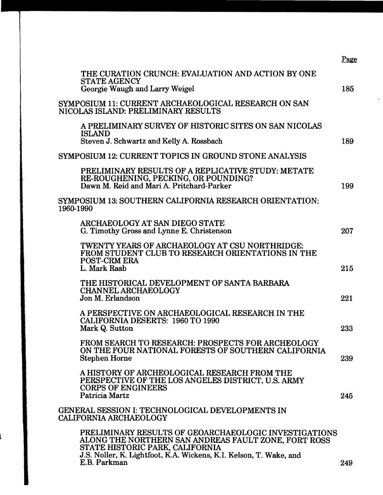|                                                                                                                                                                                                                        | Page |
|------------------------------------------------------------------------------------------------------------------------------------------------------------------------------------------------------------------------|------|
| THE CURATION CRUNCH: EVALUATION AND ACTION BY ONE<br><b>STATE AGENCY</b><br>Georgie Waugh and Larry Weigel                                                                                                             | 185  |
| SYMPOSIUM 11: CURRENT ARCHAEOLOGICAL RESEARCH ON SAN<br>NICOLAS ISLAND: PRELIMINARY RESULTS                                                                                                                            |      |
| A PRELIMINARY SURVEY OF HISTORIC SITES ON SAN NICOLAS<br><b>ISLAND</b><br>Steven J. Schwartz and Kelly A. Rossbach                                                                                                     | 189  |
| SYMPOSIUM 12: CURRENT TOPICS IN GROUND STONE ANALYSIS                                                                                                                                                                  |      |
| PRELIMINARY RESULTS OF A REPLICATIVE STUDY: METATE<br>RE-ROUGHENING, PECKING, OR POUNDING?<br>Dawn M. Reid and Mari A. Pritchard-Parker                                                                                | 199  |
| SYMPOSIUM 13: SOUTHERN CALIFORNIA RESEARCH ORIENTATION:<br>1960-1990                                                                                                                                                   |      |
| ARCHAEOLOGY AT SAN DIEGO STATE<br>G. Timothy Gross and Lynne E. Christenson                                                                                                                                            | 207  |
| TWENTY YEARS OF ARCHAEOLOGY AT CSU NORTHRIDGE:<br>FROM STUDENT CLUB TO RESEARCH ORIENTATIONS IN THE<br><b>POST-CRM ERA</b><br>L. Mark Raab                                                                             | 215  |
| THE HISTORICAL DEVELOPMENT OF SANTA BARBARA<br><b>CHANNEL ARCHAEOLOGY</b><br>Jon M. Erlandson                                                                                                                          | 221  |
| A PERSPECTIVE ON ARCHAEOLOGICAL RESEARCH IN THE<br><b>CALIFORNIA DESERTS: 1960 TO 1990</b><br>Mark Q. Sutton                                                                                                           | 233  |
| FROM SEARCH TO RESEARCH: PROSPECTS FOR ARCHEOLOGY<br>ON THE FOUR NATIONAL FORESTS OF SOUTHERN CALIFORNIA<br><b>Stephen Horne</b>                                                                                       | 239  |
| A HISTORY OF ARCHEOLOGICAL RESEARCH FROM THE<br>PERSPECTIVE OF THE LOS ANGELES DISTRICT, U.S. ARMY<br><b>CORPS OF ENGINEERS</b><br>Patricia Martz                                                                      | 245  |
| GENERAL SESSION I: TECHNOLOGICAL DEVELOPMENTS IN<br><b>CALIFORNIA ARCHAEOLOGY</b>                                                                                                                                      |      |
| PRELIMINARY RESULTS OF GEOARCHAEOLOGIC INVESTIGATIONS<br>ALONG THE NORTHERN SAN ANDREAS FAULT ZONE, FORT ROSS<br>STATE HISTORIC PARK, CALIFORNIA<br>J.S. Noller, K. Lightfoot, K.A. Wickens, K.I. Kelson, T. Wake, and |      |
| E.B. Parkman                                                                                                                                                                                                           | 249  |

 $\bar{\mathcal{A}}$